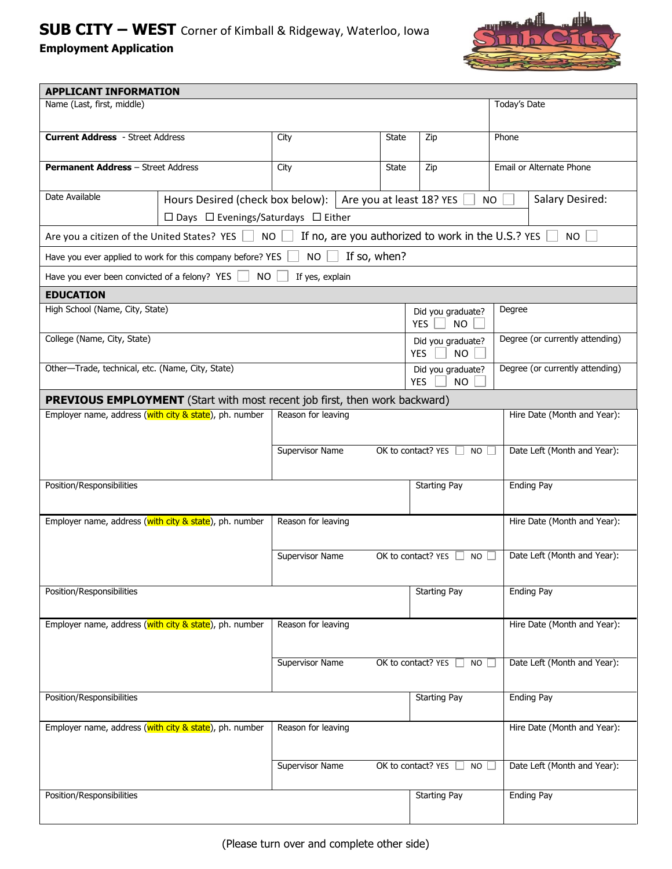# **SUB CITY – WEST** Corner of Kimball & Ridgeway, Waterloo, Iowa **Employment Application**



| <b>APPLICANT INFORMATION</b>                                                                                                                                                         |                                                            |                          |              |                                                                                 |                                     |                   |                             |
|--------------------------------------------------------------------------------------------------------------------------------------------------------------------------------------|------------------------------------------------------------|--------------------------|--------------|---------------------------------------------------------------------------------|-------------------------------------|-------------------|-----------------------------|
| Name (Last, first, middle)<br>Today's Date                                                                                                                                           |                                                            |                          |              |                                                                                 |                                     |                   |                             |
| <b>Current Address</b> - Street Address                                                                                                                                              |                                                            | City                     |              | State                                                                           | Zip                                 | Phone             |                             |
| <b>Permanent Address - Street Address</b>                                                                                                                                            |                                                            | City                     |              | State                                                                           | Zip                                 |                   | Email or Alternate Phone    |
| Date Available                                                                                                                                                                       | Hours Desired (check box below):                           | Are you at least 18? YES |              |                                                                                 | Salary Desired:<br><b>NO</b>        |                   |                             |
| $\Box$ Days $\Box$ Evenings/Saturdays $\Box$ Either<br>If no, are you authorized to work in the U.S.? YES<br><b>NO</b><br>Are you a citizen of the United States? YES [<br><b>NO</b> |                                                            |                          |              |                                                                                 |                                     |                   |                             |
|                                                                                                                                                                                      | Have you ever applied to work for this company before? YES | <b>NO</b>                | If so, when? |                                                                                 |                                     |                   |                             |
| Have you ever been convicted of a felony? YES                                                                                                                                        | NO.                                                        | If yes, explain          |              |                                                                                 |                                     |                   |                             |
| <b>EDUCATION</b>                                                                                                                                                                     |                                                            |                          |              |                                                                                 |                                     |                   |                             |
| High School (Name, City, State)<br>Did you graduate?<br><b>YES</b><br><b>NO</b>                                                                                                      |                                                            |                          |              |                                                                                 | Degree                              |                   |                             |
| College (Name, City, State)                                                                                                                                                          |                                                            |                          |              | Did you graduate?<br><b>YES</b><br><b>NO</b>                                    | Degree (or currently attending)     |                   |                             |
| Other-Trade, technical, etc. (Name, City, State)                                                                                                                                     |                                                            |                          |              | Degree (or currently attending)<br>Did you graduate?<br><b>YES</b><br><b>NO</b> |                                     |                   |                             |
| <b>PREVIOUS EMPLOYMENT</b> (Start with most recent job first, then work backward)                                                                                                    |                                                            |                          |              |                                                                                 |                                     |                   |                             |
| Employer name, address (with city & state), ph. number                                                                                                                               |                                                            | Reason for leaving       |              |                                                                                 |                                     |                   | Hire Date (Month and Year): |
|                                                                                                                                                                                      |                                                            |                          |              |                                                                                 |                                     |                   |                             |
|                                                                                                                                                                                      |                                                            | Supervisor Name          |              |                                                                                 | OK to contact? YES $\Box$ NO $\Box$ |                   | Date Left (Month and Year): |
| Position/Responsibilities                                                                                                                                                            |                                                            |                          |              | <b>Starting Pay</b>                                                             |                                     | <b>Ending Pay</b> |                             |
| Employer name, address (with city & state), ph. number                                                                                                                               |                                                            | Reason for leaving       |              |                                                                                 |                                     |                   | Hire Date (Month and Year): |
|                                                                                                                                                                                      |                                                            | Supervisor Name          |              |                                                                                 | OK to contact? YES $\Box$<br>$NO$   |                   | Date Left (Month and Year): |
| Position/Responsibilities                                                                                                                                                            |                                                            |                          |              |                                                                                 | <b>Starting Pay</b>                 |                   | <b>Ending Pay</b>           |
| Employer name, address (with city & state), ph. number                                                                                                                               |                                                            | Reason for leaving       |              |                                                                                 |                                     |                   | Hire Date (Month and Year): |
|                                                                                                                                                                                      |                                                            | Supervisor Name          |              |                                                                                 | OK to contact? YES<br>$NO \Box$     |                   | Date Left (Month and Year): |
| Position/Responsibilities                                                                                                                                                            |                                                            |                          |              | <b>Starting Pay</b>                                                             |                                     | <b>Ending Pay</b> |                             |
| Employer name, address (with city & state), ph. number                                                                                                                               |                                                            | Reason for leaving       |              |                                                                                 |                                     |                   | Hire Date (Month and Year): |
|                                                                                                                                                                                      |                                                            | Supervisor Name          |              |                                                                                 | OK to contact? YES<br>NO.           |                   | Date Left (Month and Year): |
| Position/Responsibilities                                                                                                                                                            |                                                            |                          |              |                                                                                 | <b>Starting Pay</b>                 |                   | <b>Ending Pay</b>           |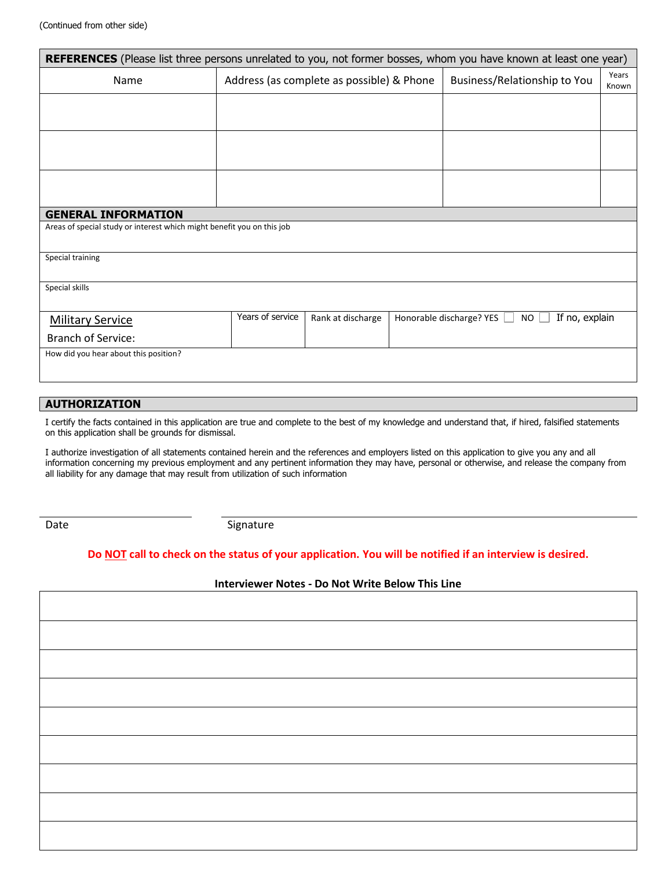| <b>REFERENCES</b> (Please list three persons unrelated to you, not former bosses, whom you have known at least one year) |                  |                                           |  |                                                   |                |  |
|--------------------------------------------------------------------------------------------------------------------------|------------------|-------------------------------------------|--|---------------------------------------------------|----------------|--|
| Name                                                                                                                     |                  | Address (as complete as possible) & Phone |  | Business/Relationship to You                      | Years<br>Known |  |
|                                                                                                                          |                  |                                           |  |                                                   |                |  |
|                                                                                                                          |                  |                                           |  |                                                   |                |  |
|                                                                                                                          |                  |                                           |  |                                                   |                |  |
|                                                                                                                          |                  |                                           |  |                                                   |                |  |
|                                                                                                                          |                  |                                           |  |                                                   |                |  |
| <b>GENERAL INFORMATION</b>                                                                                               |                  |                                           |  |                                                   |                |  |
| Areas of special study or interest which might benefit you on this job                                                   |                  |                                           |  |                                                   |                |  |
| Special training                                                                                                         |                  |                                           |  |                                                   |                |  |
| Special skills                                                                                                           |                  |                                           |  |                                                   |                |  |
|                                                                                                                          |                  |                                           |  |                                                   |                |  |
| <b>Military Service</b>                                                                                                  | Years of service | Rank at discharge                         |  | If no, explain<br>Honorable discharge? YES<br>NO. |                |  |
| <b>Branch of Service:</b>                                                                                                |                  |                                           |  |                                                   |                |  |
| How did you hear about this position?                                                                                    |                  |                                           |  |                                                   |                |  |
|                                                                                                                          |                  |                                           |  |                                                   |                |  |

### **AUTHORIZATION**

I certify the facts contained in this application are true and complete to the best of my knowledge and understand that, if hired, falsified statements on this application shall be grounds for dismissal.

I authorize investigation of all statements contained herein and the references and employers listed on this application to give you any and all information concerning my previous employment and any pertinent information they may have, personal or otherwise, and release the company from all liability for any damage that may result from utilization of such information

Date Signature

### **Do NOT call to check on the status of your application. You will be notified if an interview is desired.**

#### **Interviewer Notes - Do Not Write Below This Line**